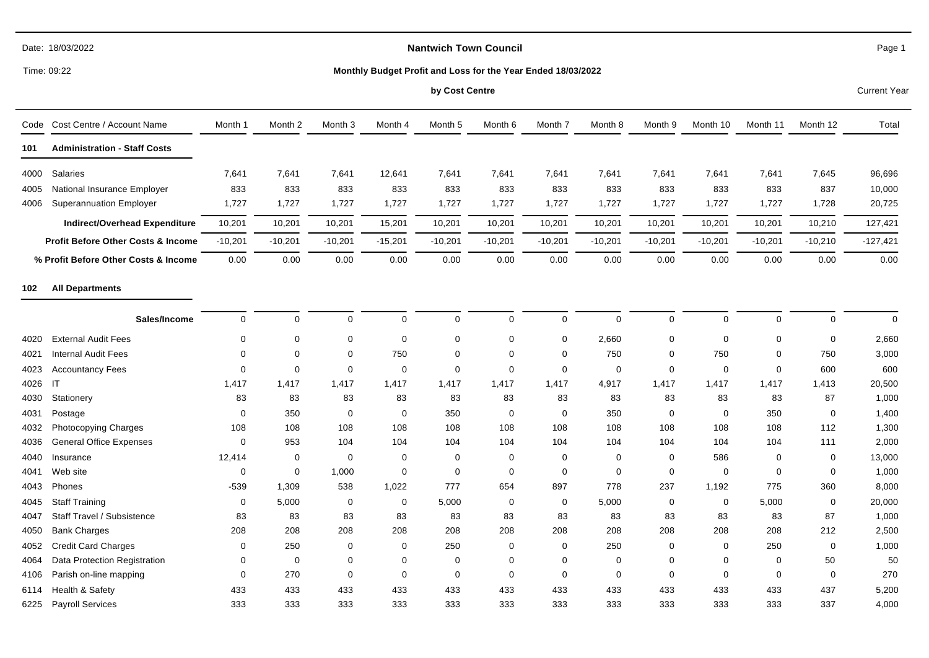# **Nantwich Town Council**

Time: 09:22

#### **Monthly Budget Profit and Loss for the Year Ended 18/03/2022**

#### **by Cost Centre** Current Year

| Code | Cost Centre / Account Name                    | Month 1     | Month 2        | Month 3   | Month 4     | Month 5   | Month 6     | Month 7     | Month 8     | Month 9     | Month 10    | Month 11    | Month 12    | Total      |
|------|-----------------------------------------------|-------------|----------------|-----------|-------------|-----------|-------------|-------------|-------------|-------------|-------------|-------------|-------------|------------|
| 101  | <b>Administration - Staff Costs</b>           |             |                |           |             |           |             |             |             |             |             |             |             |            |
| 4000 | Salaries                                      | 7,641       | 7,641          | 7,641     | 12,641      | 7,641     | 7,641       | 7,641       | 7,641       | 7,641       | 7,641       | 7,641       | 7,645       | 96,696     |
| 4005 | National Insurance Employer                   | 833         | 833            | 833       | 833         | 833       | 833         | 833         | 833         | 833         | 833         | 833         | 837         | 10,000     |
| 4006 | <b>Superannuation Employer</b>                | 1,727       | 1,727          | 1,727     | 1,727       | 1,727     | 1,727       | 1,727       | 1,727       | 1,727       | 1,727       | 1,727       | 1,728       | 20,725     |
|      | Indirect/Overhead Expenditure                 | 10,201      | 10,201         | 10,201    | 15,201      | 10,201    | 10,201      | 10,201      | 10,201      | 10,201      | 10,201      | 10,201      | 10,210      | 127,421    |
|      | <b>Profit Before Other Costs &amp; Income</b> | $-10,201$   | $-10,201$      | $-10,201$ | $-15,201$   | $-10,201$ | $-10,201$   | $-10,201$   | $-10,201$   | $-10,201$   | $-10,201$   | $-10,201$   | $-10,210$   | $-127,421$ |
|      | % Profit Before Other Costs & Income          | 0.00        | 0.00           | 0.00      | 0.00        | 0.00      | 0.00        | 0.00        | 0.00        | 0.00        | 0.00        | 0.00        | 0.00        | 0.00       |
| 102  | <b>All Departments</b>                        |             |                |           |             |           |             |             |             |             |             |             |             |            |
|      | Sales/Income                                  | $\mathbf 0$ | $\mathbf 0$    | $\Omega$  | $\mathbf 0$ | 0         | $\mathbf 0$ | $\mathbf 0$ | $\Omega$    | $\mathbf 0$ | $\Omega$    | $\mathbf 0$ | $\mathbf 0$ | $\Omega$   |
| 4020 | <b>External Audit Fees</b>                    | 0           | $\Omega$       | $\Omega$  | $\mathbf 0$ | 0         | $\Omega$    | 0           | 2,660       | 0           | $\Omega$    | $\mathbf 0$ | $\mathbf 0$ | 2,660      |
| 4021 | <b>Internal Audit Fees</b>                    | $\mathbf 0$ | $\Omega$       | $\Omega$  | 750         | 0         | $\Omega$    | $\Omega$    | 750         | $\mathbf 0$ | 750         | 0           | 750         | 3,000      |
| 4023 | <b>Accountancy Fees</b>                       | 0           | $\Omega$       | $\Omega$  | $\mathbf 0$ | 0         | $\Omega$    | $\mathbf 0$ | $\mathbf 0$ | $\mathbf 0$ | $\Omega$    | $\mathbf 0$ | 600         | 600        |
| 4026 | -IT                                           | 1,417       | 1,417          | 1,417     | 1,417       | 1,417     | 1,417       | 1,417       | 4,917       | 1,417       | 1,417       | 1,417       | 1,413       | 20,500     |
| 4030 | Stationery                                    | 83          | 83             | 83        | 83          | 83        | 83          | 83          | 83          | 83          | 83          | 83          | 87          | 1,000      |
| 4031 | Postage                                       | 0           | 350            | 0         | $\mathbf 0$ | 350       | $\mathbf 0$ | $\mathbf 0$ | 350         | $\mathbf 0$ | $\Omega$    | 350         | 0           | 1,400      |
| 4032 | Photocopying Charges                          | 108         | 108            | 108       | 108         | 108       | 108         | 108         | 108         | 108         | 108         | 108         | 112         | 1,300      |
| 4036 | <b>General Office Expenses</b>                | $\mathbf 0$ | 953            | 104       | 104         | 104       | 104         | 104         | 104         | 104         | 104         | 104         | 111         | 2,000      |
| 4040 | Insurance                                     | 12,414      | 0              | 0         | 0           | 0         | $\mathbf 0$ | $\Omega$    | 0           | $\mathbf 0$ | 586         | $\Omega$    | $\mathbf 0$ | 13,000     |
| 4041 | Web site                                      | 0           | $\mathbf 0$    | 1,000     | $\mathbf 0$ | 0         | $\mathbf 0$ | 0           | $\mathbf 0$ | $\mathbf 0$ | $\Omega$    | $\mathbf 0$ | 0           | 1,000      |
| 4043 | Phones                                        | $-539$      | 1,309          | 538       | 1,022       | 777       | 654         | 897         | 778         | 237         | 1,192       | 775         | 360         | 8,000      |
| 4045 | <b>Staff Training</b>                         | 0           | 5,000          | 0         | $\mathbf 0$ | 5,000     | $\mathbf 0$ | 0           | 5,000       | 0           | $\mathbf 0$ | 5,000       | 0           | 20,000     |
| 4047 | Staff Travel / Subsistence                    | 83          | 83             | 83        | 83          | 83        | 83          | 83          | 83          | 83          | 83          | 83          | 87          | 1,000      |
| 4050 | <b>Bank Charges</b>                           | 208         | 208            | 208       | 208         | 208       | 208         | 208         | 208         | 208         | 208         | 208         | 212         | 2,500      |
| 4052 | <b>Credit Card Charges</b>                    | 0           | 250            | $\Omega$  | $\mathbf 0$ | 250       | $\mathbf 0$ | $\Omega$    | 250         | $\Omega$    | $\Omega$    | 250         | 0           | 1,000      |
| 4064 | Data Protection Registration                  | 0           | $\overline{0}$ | 0         | 0           | 0         | $\Omega$    | $\Omega$    | $\mathbf 0$ | $\mathbf 0$ | $\Omega$    | $\mathbf 0$ | 50          | 50         |
| 4106 | Parish on-line mapping                        | 0           | 270            | 0         | 0           | 0         | $\mathbf 0$ | 0           | 0           | $\mathbf 0$ | $\Omega$    | 0           | 0           | 270        |
| 6114 | Health & Safety                               | 433         | 433            | 433       | 433         | 433       | 433         | 433         | 433         | 433         | 433         | 433         | 437         | 5,200      |
| 6225 | <b>Payroll Services</b>                       | 333         | 333            | 333       | 333         | 333       | 333         | 333         | 333         | 333         | 333         | 333         | 337         | 4,000      |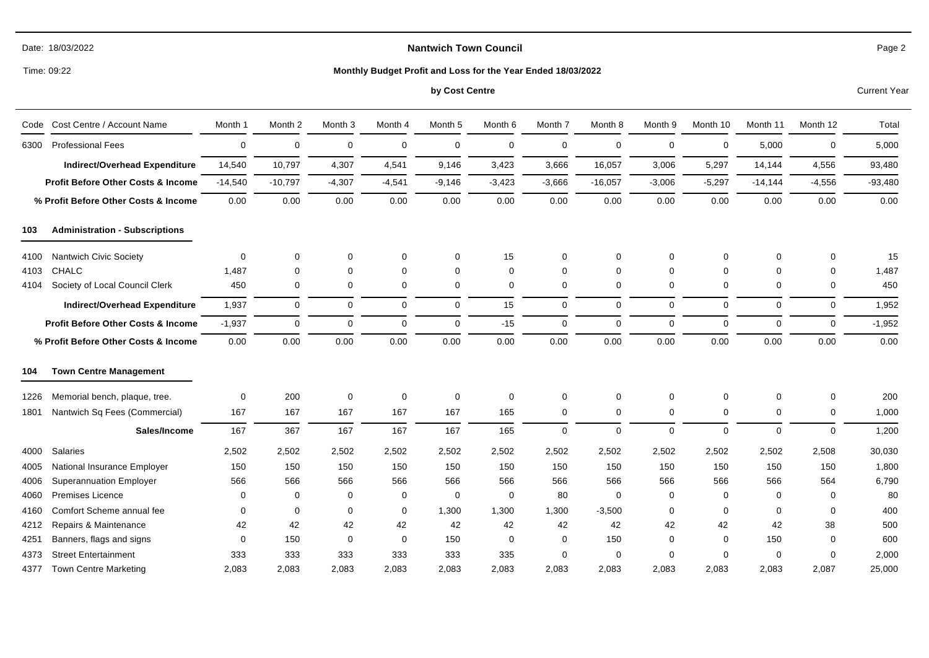|  | Date: 18/03/2022 |
|--|------------------|
|--|------------------|

Time: 09:22

#### **Monthly Budget Profit and Loss for the Year Ended 18/03/2022**

# **by Cost Centre** Current Year

| Code | Cost Centre / Account Name                    | Month 1   | Month 2     | Month <sub>3</sub> | Month 4     | Month 5     | Month 6     | Month 7     | Month 8     | Month 9     | Month 10    | Month 11    | Month 12 | Total     |
|------|-----------------------------------------------|-----------|-------------|--------------------|-------------|-------------|-------------|-------------|-------------|-------------|-------------|-------------|----------|-----------|
| 6300 | <b>Professional Fees</b>                      | 0         | $\mathbf 0$ | $\mathbf 0$        | $\mathbf 0$ | $\mathbf 0$ | $\mathbf 0$ | $\mathbf 0$ | $\mathbf 0$ | 0           | $\mathbf 0$ | 5,000       | 0        | 5,000     |
|      | Indirect/Overhead Expenditure                 | 14,540    | 10,797      | 4,307              | 4,541       | 9,146       | 3,423       | 3,666       | 16,057      | 3,006       | 5,297       | 14,144      | 4,556    | 93,480    |
|      | <b>Profit Before Other Costs &amp; Income</b> | $-14,540$ | $-10,797$   | $-4,307$           | $-4,541$    | $-9,146$    | $-3,423$    | $-3,666$    | $-16,057$   | $-3,006$    | $-5,297$    | $-14,144$   | $-4,556$ | $-93,480$ |
|      | % Profit Before Other Costs & Income          | 0.00      | 0.00        | 0.00               | 0.00        | 0.00        | 0.00        | 0.00        | 0.00        | 0.00        | 0.00        | 0.00        | 0.00     | 0.00      |
| 103  | <b>Administration - Subscriptions</b>         |           |             |                    |             |             |             |             |             |             |             |             |          |           |
| 4100 | Nantwich Civic Society                        | 0         | $\mathbf 0$ | 0                  | $\mathbf 0$ | 0           | 15          | 0           | 0           | 0           | 0           | $\mathbf 0$ | 0        | 15        |
| 4103 | <b>CHALC</b>                                  | 1,487     | $\Omega$    | $\Omega$           | $\mathbf 0$ | $\Omega$    | $\Omega$    | 0           | $\Omega$    | $\Omega$    | 0           | $\Omega$    | $\Omega$ | 1,487     |
| 4104 | Society of Local Council Clerk                | 450       | 0           | 0                  | $\mathbf 0$ | $\mathbf 0$ | 0           | 0           | 0           | 0           | $\mathbf 0$ | 0           | 0        | 450       |
|      | Indirect/Overhead Expenditure                 | 1,937     | 0           | 0                  | $\mathbf 0$ | $\mathbf 0$ | 15          | 0           | $\mathbf 0$ | $\mathbf 0$ | $\mathbf 0$ | $\mathbf 0$ | 0        | 1,952     |
|      | <b>Profit Before Other Costs &amp; Income</b> | $-1,937$  | 0           | $\mathbf 0$        | $\mathbf 0$ | $\mathbf 0$ | $-15$       | 0           | $\Omega$    | $\mathbf 0$ | $\Omega$    | $\mathbf 0$ | $\Omega$ | $-1,952$  |
|      | % Profit Before Other Costs & Income          | 0.00      | 0.00        | 0.00               | 0.00        | 0.00        | 0.00        | 0.00        | 0.00        | 0.00        | 0.00        | 0.00        | 0.00     | 0.00      |
| 104  | <b>Town Centre Management</b>                 |           |             |                    |             |             |             |             |             |             |             |             |          |           |
| 1226 | Memorial bench, plaque, tree.                 | 0         | 200         | 0                  | $\mathbf 0$ | $\mathbf 0$ | 0           | 0           | 0           | 0           | 0           | $\mathbf 0$ | 0        | 200       |
| 1801 | Nantwich Sq Fees (Commercial)                 | 167       | 167         | 167                | 167         | 167         | 165         | 0           | $\mathbf 0$ | $\mathbf 0$ | $\mathbf 0$ | $\mathbf 0$ | 0        | 1,000     |
|      | Sales/Income                                  | 167       | 367         | 167                | 167         | 167         | 165         | $\mathbf 0$ | $\mathbf 0$ | $\mathbf 0$ | $\mathbf 0$ | $\mathbf 0$ | $\Omega$ | 1,200     |
| 4000 | <b>Salaries</b>                               | 2,502     | 2,502       | 2,502              | 2,502       | 2,502       | 2,502       | 2,502       | 2,502       | 2,502       | 2,502       | 2,502       | 2,508    | 30,030    |
| 4005 | National Insurance Employer                   | 150       | 150         | 150                | 150         | 150         | 150         | 150         | 150         | 150         | 150         | 150         | 150      | 1,800     |
| 4006 | <b>Superannuation Employer</b>                | 566       | 566         | 566                | 566         | 566         | 566         | 566         | 566         | 566         | 566         | 566         | 564      | 6,790     |
| 4060 | <b>Premises Licence</b>                       | 0         | 0           | 0                  | 0           | $\mathbf 0$ | 0           | 80          | 0           | 0           | $\mathbf 0$ | 0           | 0        | 80        |
| 4160 | Comfort Scheme annual fee                     | 0         | 0           | 0                  | 0           | 1,300       | 1,300       | 1,300       | $-3,500$    | 0           | $\mathbf 0$ | $\mathbf 0$ | 0        | 400       |
| 4212 | Repairs & Maintenance                         | 42        | 42          | 42                 | 42          | 42          | 42          | 42          | 42          | 42          | 42          | 42          | 38       | 500       |
| 4251 | Banners, flags and signs                      | 0         | 150         | $\mathbf 0$        | $\mathbf 0$ | 150         | $\Omega$    | 0           | 150         | 0           | $\mathbf 0$ | 150         | 0        | 600       |
| 4373 | <b>Street Entertainment</b>                   | 333       | 333         | 333                | 333         | 333         | 335         | 0           | 0           | 0           | $\mathbf 0$ | 0           | 0        | 2,000     |
| 4377 | <b>Town Centre Marketing</b>                  | 2,083     | 2,083       | 2,083              | 2,083       | 2,083       | 2,083       | 2,083       | 2,083       | 2,083       | 2,083       | 2,083       | 2,087    | 25,000    |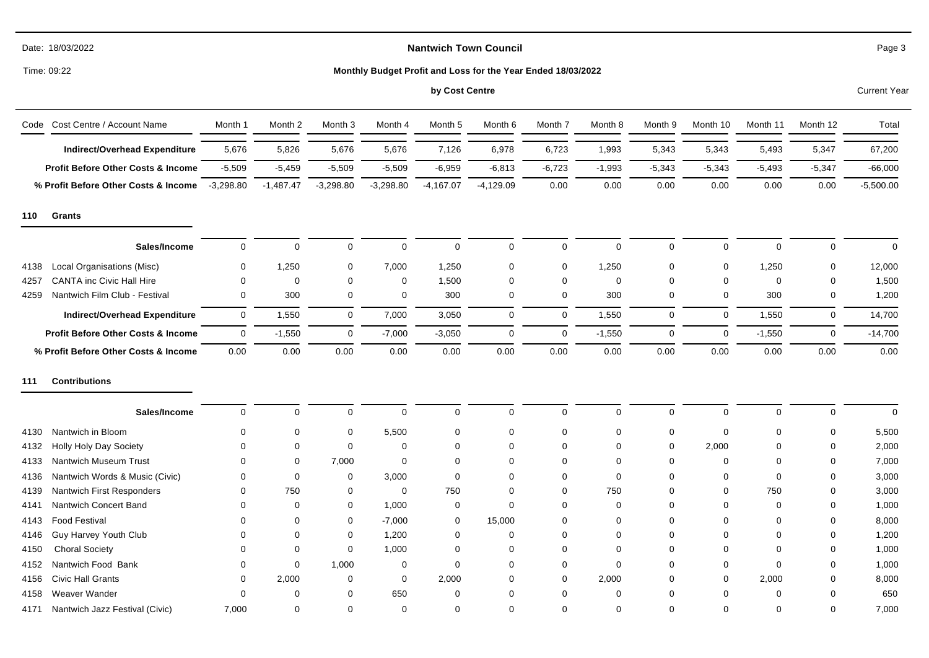# **Nantwich Town Council**

Time: 09:22

# **Monthly Budget Profit and Loss for the Year Ended 18/03/2022**

# **by Cost Centre** Current Year

| Code Cost Centre / Account Name               | Month 1     | Month 2     | Month 3     | Month 4     | Month 5     | Month 6     | Month 7     | Month 8     | Month 9     | Month 10    | Month 11    | Month 12     | Total       |
|-----------------------------------------------|-------------|-------------|-------------|-------------|-------------|-------------|-------------|-------------|-------------|-------------|-------------|--------------|-------------|
| <b>Indirect/Overhead Expenditure</b>          | 5,676       | 5,826       | 5,676       | 5,676       | 7,126       | 6,978       | 6,723       | 1,993       | 5,343       | 5,343       | 5,493       | 5,347        | 67,200      |
| <b>Profit Before Other Costs &amp; Income</b> | $-5,509$    | $-5,459$    | $-5,509$    | $-5,509$    | $-6,959$    | $-6,813$    | $-6,723$    | $-1,993$    | $-5,343$    | $-5,343$    | $-5,493$    | $-5,347$     | $-66,000$   |
| % Profit Before Other Costs & Income          | $-3,298.80$ | $-1,487.47$ | $-3,298.80$ | $-3,298.80$ | $-4,167.07$ | $-4,129.09$ | 0.00        | 0.00        | 0.00        | 0.00        | 0.00        | 0.00         | $-5,500.00$ |
| <b>Grants</b><br>110                          |             |             |             |             |             |             |             |             |             |             |             |              |             |
| Sales/Income                                  | $\mathbf 0$ | $\mathbf 0$ | $\mathbf 0$ | $\Omega$    | $\mathbf 0$ | $\Omega$    | $\mathbf 0$ | $\Omega$    | $\mathbf 0$ | $\Omega$    | $\mathbf 0$ | 0            | $\Omega$    |
| Local Organisations (Misc)<br>4138            | $\mathbf 0$ | 1,250       | 0           | 7,000       | 1,250       | $\Omega$    | $\mathbf 0$ | 1,250       | 0           | 0           | 1,250       | 0            | 12,000      |
| <b>CANTA inc Civic Hall Hire</b><br>4257      | $\mathbf 0$ | $\mathbf 0$ | 0           | 0           | 1,500       | $\Omega$    | 0           | 0           | $\mathbf 0$ | $\mathbf 0$ | 0           | $\mathbf 0$  | 1,500       |
| Nantwich Film Club - Festival<br>4259         | 0           | 300         | 0           | 0           | 300         | 0           | 0           | 300         | 0           | 0           | 300         | 0            | 1,200       |
| <b>Indirect/Overhead Expenditure</b>          | $\mathbf 0$ | 1,550       | $\mathbf 0$ | 7,000       | 3,050       | $\mathbf 0$ | $\mathbf 0$ | 1,550       | $\mathbf 0$ | $\mathbf 0$ | 1,550       | $\mathbf{0}$ | 14,700      |
| Profit Before Other Costs & Income            | $\mathbf 0$ | $-1,550$    | 0           | $-7,000$    | $-3,050$    | $\mathbf 0$ | $\mathbf 0$ | $-1,550$    | $\mathbf 0$ | 0           | $-1,550$    | $\mathbf 0$  | $-14,700$   |
| % Profit Before Other Costs & Income          | 0.00        | 0.00        | 0.00        | 0.00        | 0.00        | 0.00        | 0.00        | 0.00        | 0.00        | 0.00        | 0.00        | 0.00         | 0.00        |
| <b>Contributions</b><br>111                   |             |             |             |             |             |             |             |             |             |             |             |              |             |
| Sales/Income                                  | $\mathbf 0$ | $\mathbf 0$ | $\mathbf 0$ | $\mathbf 0$ | $\mathbf 0$ | $\Omega$    | $\mathbf 0$ | $\mathbf 0$ | $\mathbf 0$ | 0           | $\mathbf 0$ | $\mathbf 0$  | $\Omega$    |
| Nantwich in Bloom<br>4130                     | $\Omega$    | 0           | 0           | 5,500       | $\mathbf 0$ | $\Omega$    | $\mathbf 0$ | 0           | 0           | 0           | 0           | 0            | 5,500       |
| Holly Holy Day Society<br>4132                | $\Omega$    | $\Omega$    | $\mathbf 0$ | $\mathbf 0$ | $\mathbf 0$ | $\Omega$    | $\Omega$    | $\Omega$    | $\mathbf 0$ | 2,000       | 0           | $\Omega$     | 2,000       |
| Nantwich Museum Trust<br>4133                 | $\Omega$    | $\Omega$    | 7,000       | $\mathbf 0$ | $\Omega$    | $\Omega$    | $\Omega$    | $\Omega$    | $\Omega$    | $\mathbf 0$ | 0           | $\Omega$     | 7,000       |
| Nantwich Words & Music (Civic)<br>4136        | ∩           | $\Omega$    | 0           | 3,000       | 0           | $\Omega$    | 0           | 0           | 0           | 0           | 0           | $\Omega$     | 3,000       |
| Nantwich First Responders<br>4139             | $\Omega$    | 750         | 0           | 0           | 750         | $\Omega$    | 0           | 750         | 0           | 0           | 750         | $\Omega$     | 3,000       |
| Nantwich Concert Band<br>4141                 | $\Omega$    | $\mathbf 0$ | 0           | 1,000       | 0           | $\Omega$    | 0           | $\mathbf 0$ | $\Omega$    | 0           | 0           | $\Omega$     | 1,000       |
| <b>Food Festival</b><br>4143                  | $\Omega$    | $\Omega$    | $\mathbf 0$ | $-7,000$    | $\mathbf 0$ | 15,000      | $\Omega$    | $\Omega$    | $\Omega$    | $\Omega$    | 0           | $\Omega$     | 8,000       |
| Guy Harvey Youth Club<br>4146                 |             | $\Omega$    | 0           | 1,200       | 0           | $\Omega$    | $\Omega$    | $\Omega$    | 0           | 0           | 0           | $\Omega$     | 1,200       |
| <b>Choral Society</b><br>4150                 | ∩           | 0           | 0           | 1,000       | 0           | $\Omega$    | 0           | $\Omega$    | 0           | 0           | 0           | 0            | 1,000       |
| Nantwich Food Bank<br>4152                    | $\Omega$    | $\mathbf 0$ | 1,000       | 0           | 0           | $\Omega$    | 0           | 0           | 0           | 0           | 0           | $\Omega$     | 1,000       |
| <b>Civic Hall Grants</b><br>4156              | 0           | 2,000       | 0           | $\mathbf 0$ | 2,000       | $\Omega$    | 0           | 2,000       | 0           | 0           | 2,000       | $\Omega$     | 8,000       |
| Weaver Wander<br>4158                         | $\Omega$    | $\Omega$    | 0           | 650         | 0           | $\Omega$    | $\Omega$    | $\Omega$    | $\Omega$    | 0           | 0           | $\Omega$     | 650         |
| 4171<br>Nantwich Jazz Festival (Civic)        | 7.000       | $\Omega$    | $\Omega$    | $\Omega$    | $\Omega$    | $\Omega$    | $\Omega$    | $\Omega$    | $\Omega$    | $\Omega$    | 0           | $\Omega$     | 7,000       |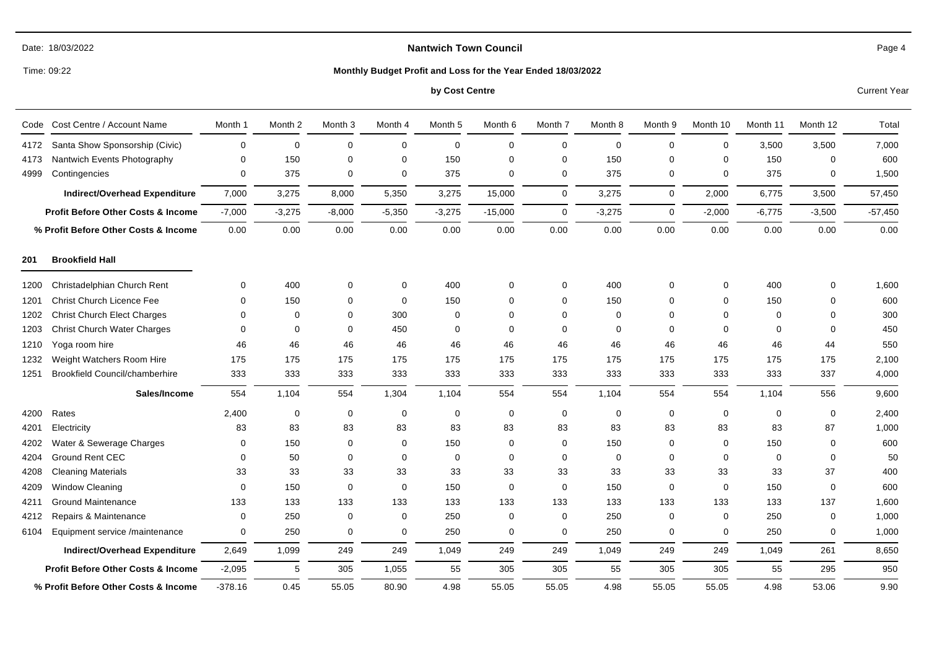# **Nantwich Town Council**

Time: 09:22

# **Monthly Budget Profit and Loss for the Year Ended 18/03/2022**

# **by Cost Centre** Current Year

| Cost Centre / Account Name<br>Code            | Month 1   | Month 2     | Month <sub>3</sub> | Month 4     | Month 5     | Month 6     | Month 7     | Month 8     | Month 9     | Month 10    | Month 11    | Month 12    | Total     |
|-----------------------------------------------|-----------|-------------|--------------------|-------------|-------------|-------------|-------------|-------------|-------------|-------------|-------------|-------------|-----------|
| Santa Show Sponsorship (Civic)<br>4172        | $\Omega$  | $\mathbf 0$ | $\mathbf 0$        | $\mathbf 0$ | $\mathbf 0$ | $\mathbf 0$ | 0           | $\mathbf 0$ | $\mathbf 0$ | 0           | 3,500       | 3,500       | 7,000     |
| Nantwich Events Photography<br>4173           | $\Omega$  | 150         | $\mathbf 0$        | $\mathbf 0$ | 150         | $\Omega$    | $\mathbf 0$ | 150         | $\Omega$    | 0           | 150         | 0           | 600       |
| 4999<br>Contingencies                         | $\Omega$  | 375         | 0                  | $\mathbf 0$ | 375         | $\Omega$    | 0           | 375         | 0           | 0           | 375         | 0           | 1,500     |
| <b>Indirect/Overhead Expenditure</b>          | 7,000     | 3,275       | 8,000              | 5,350       | 3,275       | 15,000      | $\mathbf 0$ | 3,275       | $\mathbf 0$ | 2,000       | 6,775       | 3,500       | 57,450    |
| <b>Profit Before Other Costs &amp; Income</b> | $-7,000$  | $-3,275$    | $-8,000$           | $-5,350$    | $-3,275$    | $-15,000$   | $\mathbf 0$ | $-3,275$    | $\Omega$    | $-2,000$    | $-6,775$    | $-3,500$    | $-57,450$ |
| % Profit Before Other Costs & Income          | 0.00      | 0.00        | 0.00               | 0.00        | 0.00        | 0.00        | 0.00        | 0.00        | 0.00        | 0.00        | 0.00        | 0.00        | 0.00      |
| <b>Brookfield Hall</b><br>201                 |           |             |                    |             |             |             |             |             |             |             |             |             |           |
| Christadelphian Church Rent<br>1200           | 0         | 400         | 0                  | 0           | 400         | $\Omega$    | 0           | 400         | 0           | 0           | 400         | 0           | 1,600     |
| Christ Church Licence Fee<br>1201             | $\Omega$  | 150         | 0                  | 0           | 150         | $\Omega$    | 0           | 150         | $\Omega$    | 0           | 150         | 0           | 600       |
| <b>Christ Church Elect Charges</b><br>1202    | $\Omega$  | $\Omega$    | $\mathbf 0$        | 300         | $\Omega$    | $\Omega$    | $\mathbf 0$ | $\Omega$    | $\Omega$    | $\Omega$    | $\mathbf 0$ | 0           | 300       |
| <b>Christ Church Water Charges</b><br>1203    | $\Omega$  | $\mathbf 0$ | $\mathbf 0$        | 450         | $\mathbf 0$ | $\Omega$    | 0           | 0           | $\Omega$    | 0           | 0           | 0           | 450       |
| Yoga room hire<br>1210                        | 46        | 46          | 46                 | 46          | 46          | 46          | 46          | 46          | 46          | 46          | 46          | 44          | 550       |
| Weight Watchers Room Hire<br>1232             | 175       | 175         | 175                | 175         | 175         | 175         | 175         | 175         | 175         | 175         | 175         | 175         | 2,100     |
| <b>Brookfield Council/chamberhire</b><br>1251 | 333       | 333         | 333                | 333         | 333         | 333         | 333         | 333         | 333         | 333         | 333         | 337         | 4,000     |
| Sales/Income                                  | 554       | 1,104       | 554                | 1,304       | 1,104       | 554         | 554         | 1,104       | 554         | 554         | 1,104       | 556         | 9,600     |
| Rates<br>4200                                 | 2,400     | $\mathbf 0$ | 0                  | $\mathbf 0$ | $\mathbf 0$ | $\mathbf 0$ | 0           | 0           | $\mathbf 0$ | $\mathbf 0$ | $\mathbf 0$ | 0           | 2,400     |
| Electricity<br>4201                           | 83        | 83          | 83                 | 83          | 83          | 83          | 83          | 83          | 83          | 83          | 83          | 87          | 1,000     |
| Water & Sewerage Charges<br>4202              | $\Omega$  | 150         | $\mathbf 0$        | $\mathbf 0$ | 150         | $\Omega$    | 0           | 150         | $\Omega$    | $\Omega$    | 150         | $\Omega$    | 600       |
| <b>Ground Rent CEC</b><br>4204                | $\Omega$  | 50          | 0                  | $\mathbf 0$ | $\mathbf 0$ | $\Omega$    | 0           | $\Omega$    | $\Omega$    | 0           | 0           | 0           | 50        |
| <b>Cleaning Materials</b><br>4208             | 33        | 33          | 33                 | 33          | 33          | 33          | 33          | 33          | 33          | 33          | 33          | 37          | 400       |
| <b>Window Cleaning</b><br>4209                | 0         | 150         | $\mathbf 0$        | $\mathbf 0$ | 150         | $\Omega$    | $\mathbf 0$ | 150         | $\mathbf 0$ | 0           | 150         | $\mathbf 0$ | 600       |
| <b>Ground Maintenance</b><br>4211             | 133       | 133         | 133                | 133         | 133         | 133         | 133         | 133         | 133         | 133         | 133         | 137         | 1,600     |
| Repairs & Maintenance<br>4212                 | $\Omega$  | 250         | 0                  | 0           | 250         | 0           | 0           | 250         | 0           | 0           | 250         | 0           | 1,000     |
| 6104<br>Equipment service /maintenance        | 0         | 250         | $\mathbf 0$        | $\mathbf 0$ | 250         | $\Omega$    | $\mathbf 0$ | 250         | 0           | $\mathbf 0$ | 250         | 0           | 1,000     |
| <b>Indirect/Overhead Expenditure</b>          | 2,649     | 1,099       | 249                | 249         | 1,049       | 249         | 249         | 1,049       | 249         | 249         | 1,049       | 261         | 8,650     |
| <b>Profit Before Other Costs &amp; Income</b> | $-2,095$  | 5           | 305                | 1,055       | 55          | 305         | 305         | 55          | 305         | 305         | 55          | 295         | 950       |
| % Profit Before Other Costs & Income          | $-378.16$ | 0.45        | 55.05              | 80.90       | 4.98        | 55.05       | 55.05       | 4.98        | 55.05       | 55.05       | 4.98        | 53.06       | 9.90      |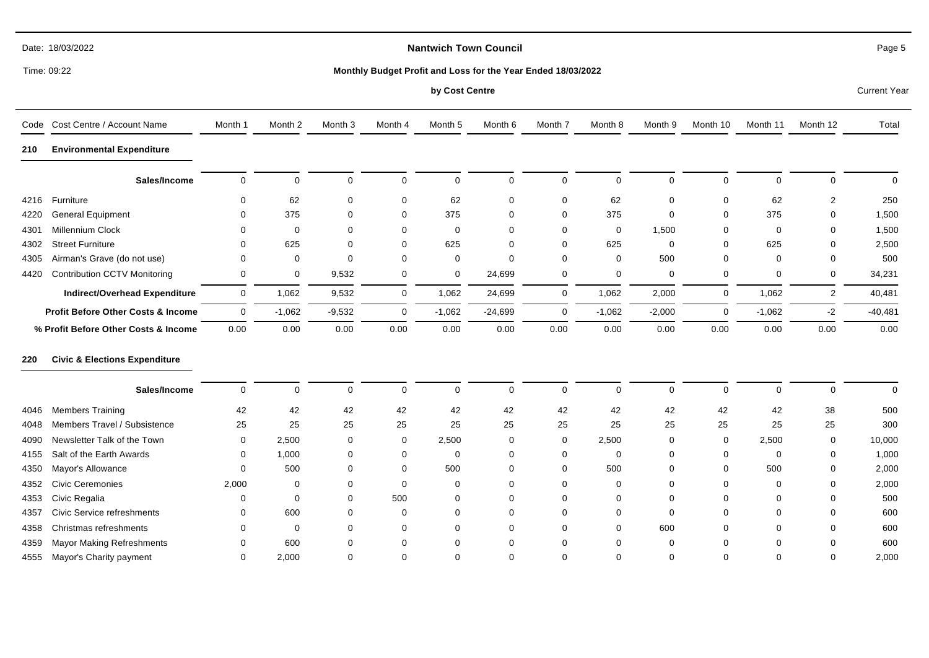# **Nantwich Town Council**

Time: 09:22

#### **Monthly Budget Profit and Loss for the Year Ended 18/03/2022**

**by Cost Centre** Current Year

|      | Code Cost Centre / Account Name          | Month 1      | Month <sub>2</sub> | Month <sub>3</sub> | Month 4     | Month <sub>5</sub> | Month 6     | Month 7     | Month 8     | Month 9     | Month 10    | Month 11    | Month 12       | Total       |
|------|------------------------------------------|--------------|--------------------|--------------------|-------------|--------------------|-------------|-------------|-------------|-------------|-------------|-------------|----------------|-------------|
| 210  | <b>Environmental Expenditure</b>         |              |                    |                    |             |                    |             |             |             |             |             |             |                |             |
|      | Sales/Income                             | $\mathbf 0$  | $\mathbf 0$        | 0                  | $\mathbf 0$ | $\mathbf 0$        | $\mathbf 0$ | $\mathbf 0$ | $\mathbf 0$ | $\mathbf 0$ | $\mathbf 0$ | $\mathbf 0$ | 0              | $\mathbf 0$ |
| 4216 | Furniture                                | $\Omega$     | 62                 | 0                  | 0           | 62                 | $\mathbf 0$ | $\mathbf 0$ | 62          | 0           | 0           | 62          | 2              | 250         |
| 4220 | <b>General Equipment</b>                 | <sup>0</sup> | 375                | 0                  | 0           | 375                | $\Omega$    | 0           | 375         | $\mathbf 0$ | 0           | 375         | $\Omega$       | 1,500       |
| 4301 | Millennium Clock                         |              | 0                  | 0                  | 0           | 0                  | $\Omega$    | $\Omega$    | $\mathbf 0$ | 1,500       | 0           | 0           | $\Omega$       | 1,500       |
| 4302 | <b>Street Furniture</b>                  |              | 625                | $\Omega$           | 0           | 625                | $\Omega$    | 0           | 625         | $\mathbf 0$ | 0           | 625         | 0              | 2,500       |
| 4305 | Airman's Grave (do not use)              | $\Omega$     | 0                  | $\Omega$           | 0           | $\mathbf 0$        | $\Omega$    | $\Omega$    | $\mathbf 0$ | 500         | 0           | 0           | $\Omega$       | 500         |
| 4420 | <b>Contribution CCTV Monitoring</b>      | $\mathbf 0$  | 0                  | 9,532              | 0           | 0                  | 24,699      | 0           | $\mathbf 0$ | $\mathbf 0$ | 0           | 0           | 0              | 34,231      |
|      | <b>Indirect/Overhead Expenditure</b>     | $\mathbf 0$  | 1,062              | 9,532              | $\mathbf 0$ | 1,062              | 24,699      | 0           | 1,062       | 2,000       | 0           | 1,062       | $\overline{2}$ | 40,481      |
|      | Profit Before Other Costs & Income       | $\mathbf{0}$ | $-1,062$           | $-9,532$           | $\mathbf 0$ | $-1,062$           | $-24,699$   | 0           | $-1,062$    | $-2,000$    | 0           | $-1,062$    | $-2$           | $-40,481$   |
|      | % Profit Before Other Costs & Income     | 0.00         | 0.00               | 0.00               | 0.00        | 0.00               | 0.00        | 0.00        | 0.00        | 0.00        | 0.00        | 0.00        | 0.00           | 0.00        |
| 220  | <b>Civic &amp; Elections Expenditure</b> |              |                    |                    |             |                    |             |             |             |             |             |             |                |             |
|      | Sales/Income                             | $\mathbf 0$  | $\mathbf 0$        | $\mathbf 0$        | $\mathbf 0$ | $\mathbf 0$        | $\Omega$    | $\mathbf 0$ | $\mathbf 0$ | $\mathbf 0$ | $\mathbf 0$ | $\mathbf 0$ | $\Omega$       | $\mathbf 0$ |
| 4046 | <b>Members Training</b>                  | 42           | 42                 | 42                 | 42          | 42                 | 42          | 42          | 42          | 42          | 42          | 42          | 38             | 500         |
| 4048 | Members Travel / Subsistence             | 25           | 25                 | 25                 | 25          | 25                 | 25          | 25          | 25          | 25          | 25          | 25          | 25             | 300         |
| 4090 | Newsletter Talk of the Town              | 0            | 2,500              | 0                  | 0           | 2,500              | $\Omega$    | 0           | 2,500       | 0           | 0           | 2,500       | 0              | 10,000      |
| 4155 | Salt of the Earth Awards                 | $\Omega$     | 1,000              | 0                  | 0           | $\mathbf 0$        | $\Omega$    | $\Omega$    | $\mathbf 0$ | $\mathbf 0$ | 0           | 0           | $\Omega$       | 1,000       |
| 4350 | Mayor's Allowance                        | $\Omega$     | 500                | 0                  | 0           | 500                | $\Omega$    | 0           | 500         | $\mathbf 0$ | 0           | 500         | $\Omega$       | 2,000       |
| 4352 | <b>Civic Ceremonies</b>                  | 2,000        | 0                  | 0                  | 0           | 0                  | $\Omega$    | $\Omega$    | $\mathbf 0$ | $\mathbf 0$ | $\Omega$    | 0           | <sup>0</sup>   | 2,000       |
| 4353 | Civic Regalia                            | $\Omega$     | $\Omega$           | 0                  | 500         | $\Omega$           | $\Omega$    | $\Omega$    | 0           | $\Omega$    | $\Omega$    | $\Omega$    | $\Omega$       | 500         |
| 4357 | <b>Civic Service refreshments</b>        | $\Omega$     | 600                | 0                  | 0           | 0                  | $\Omega$    | $\Omega$    | 0           | 0           | 0           | 0           | $\Omega$       | 600         |
| 4358 | Christmas refreshments                   |              | $\mathbf 0$        | 0                  | 0           | 0                  | $\Omega$    | $\Omega$    | $\mathbf 0$ | 600         | 0           | $\Omega$    | $\Omega$       | 600         |
| 4359 | Mayor Making Refreshments                | 0            | 600                | 0                  | 0           | $\Omega$           | $\Omega$    | $\Omega$    | $\Omega$    | $\mathbf 0$ | $\Omega$    | 0           | 0              | 600         |
| 4555 | Mayor's Charity payment                  | $\Omega$     | 2,000              | 0                  | 0           | $\Omega$           | $\Omega$    | $\Omega$    | 0           | $\mathbf 0$ | $\Omega$    | 0           | $\Omega$       | 2,000       |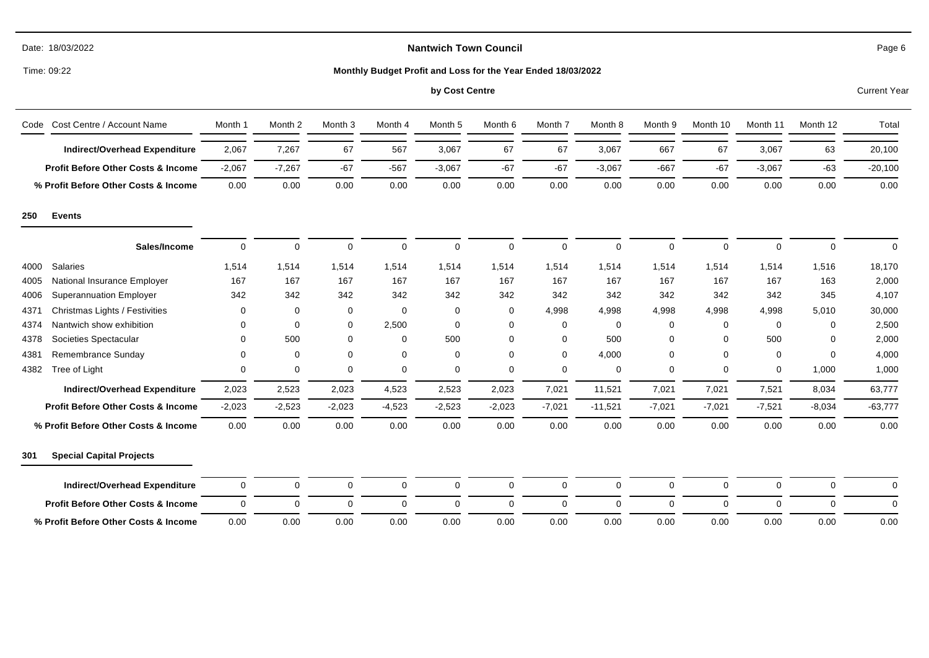| Date: | 18/03/2022 |
|-------|------------|
|-------|------------|

Time: 09:22

# **Monthly Budget Profit and Loss for the Year Ended 18/03/2022**

# **by Cost Centre** Current Year

|      | Code Cost Centre / Account Name               | Month 1      | Month 2     | Month <sub>3</sub> | Month 4     | Month 5      | Month 6     | Month 7     | Month 8   | Month 9     | Month 10    | Month 11    | Month 12    | Total     |
|------|-----------------------------------------------|--------------|-------------|--------------------|-------------|--------------|-------------|-------------|-----------|-------------|-------------|-------------|-------------|-----------|
|      | <b>Indirect/Overhead Expenditure</b>          | 2,067        | 7,267       | 67                 | 567         | 3,067        | 67          | 67          | 3,067     | 667         | 67          | 3,067       | 63          | 20,100    |
|      | <b>Profit Before Other Costs &amp; Income</b> | $-2,067$     | $-7,267$    | $-67$              | $-567$      | $-3,067$     | $-67$       | $-67$       | $-3,067$  | $-667$      | $-67$       | $-3,067$    | $-63$       | $-20,100$ |
|      | % Profit Before Other Costs & Income          | 0.00         | 0.00        | 0.00               | 0.00        | 0.00         | 0.00        | 0.00        | 0.00      | 0.00        | 0.00        | 0.00        | 0.00        | 0.00      |
| 250  | <b>Events</b>                                 |              |             |                    |             |              |             |             |           |             |             |             |             |           |
|      | Sales/Income                                  | $\mathbf{0}$ | $\mathbf 0$ | $\mathbf 0$        | $\mathbf 0$ | $\mathbf 0$  | $\mathbf 0$ | $\mathbf 0$ | $\Omega$  | $\mathbf 0$ | $\mathbf 0$ | $\mathbf 0$ | $\mathbf 0$ | $\Omega$  |
| 4000 | <b>Salaries</b>                               | 1,514        | 1,514       | 1,514              | 1,514       | 1,514        | 1,514       | 1,514       | 1,514     | 1,514       | 1,514       | 1,514       | 1,516       | 18,170    |
| 4005 | National Insurance Employer                   | 167          | 167         | 167                | 167         | 167          | 167         | 167         | 167       | 167         | 167         | 167         | 163         | 2,000     |
| 4006 | <b>Superannuation Employer</b>                | 342          | 342         | 342                | 342         | 342          | 342         | 342         | 342       | 342         | 342         | 342         | 345         | 4,107     |
| 4371 | Christmas Lights / Festivities                | 0            | 0           | 0                  | 0           | 0            | 0           | 4,998       | 4,998     | 4,998       | 4,998       | 4,998       | 5,010       | 30,000    |
| 4374 | Nantwich show exhibition                      | 0            | 0           | 0                  | 2,500       | $\mathbf 0$  | 0           | 0           | 0         | 0           | 0           | 0           | 0           | 2,500     |
| 4378 | Societies Spectacular                         | 0            | 500         | $\mathbf 0$        | $\mathbf 0$ | 500          | $\Omega$    | 0           | 500       | $\Omega$    | 0           | 500         | $\Omega$    | 2,000     |
| 4381 | Remembrance Sunday                            | 0            | 0           | 0                  | 0           | $\mathbf 0$  | $\Omega$    | 0           | 4,000     | $\Omega$    | 0           | 0           | $\Omega$    | 4,000     |
| 4382 | Tree of Light                                 | 0            | $\mathbf 0$ | 0                  | $\mathbf 0$ | $\mathbf 0$  | 0           | 0           | $\Omega$  | $\Omega$    | 0           | $\mathbf 0$ | 1,000       | 1,000     |
|      | Indirect/Overhead Expenditure                 | 2,023        | 2,523       | 2,023              | 4,523       | 2,523        | 2,023       | 7,021       | 11,521    | 7,021       | 7,021       | 7,521       | 8,034       | 63,777    |
|      | <b>Profit Before Other Costs &amp; Income</b> | $-2,023$     | $-2,523$    | $-2,023$           | $-4,523$    | $-2,523$     | $-2,023$    | $-7,021$    | $-11,521$ | $-7,021$    | $-7,021$    | $-7,521$    | $-8,034$    | $-63,777$ |
|      | % Profit Before Other Costs & Income          | 0.00         | 0.00        | 0.00               | 0.00        | 0.00         | 0.00        | 0.00        | 0.00      | 0.00        | 0.00        | 0.00        | 0.00        | 0.00      |
| 301  | <b>Special Capital Projects</b>               |              |             |                    |             |              |             |             |           |             |             |             |             |           |
|      | <b>Indirect/Overhead Expenditure</b>          | $\mathbf 0$  | $\mathbf 0$ | $\mathbf 0$        | $\mathbf 0$ | $\mathbf{0}$ | $\Omega$    | $\mathbf 0$ | $\Omega$  | $\Omega$    | $\mathbf 0$ | $\mathbf 0$ | $\Omega$    | $\Omega$  |
|      | <b>Profit Before Other Costs &amp; Income</b> | $\Omega$     | 0           | 0                  | $\mathbf 0$ | $\mathbf 0$  | $\Omega$    | 0           | $\Omega$  | $\Omega$    | $\Omega$    | $\mathbf 0$ | $\Omega$    | $\Omega$  |
|      | % Profit Before Other Costs & Income          | 0.00         | 0.00        | 0.00               | 0.00        | 0.00         | 0.00        | 0.00        | 0.00      | 0.00        | 0.00        | 0.00        | 0.00        | 0.00      |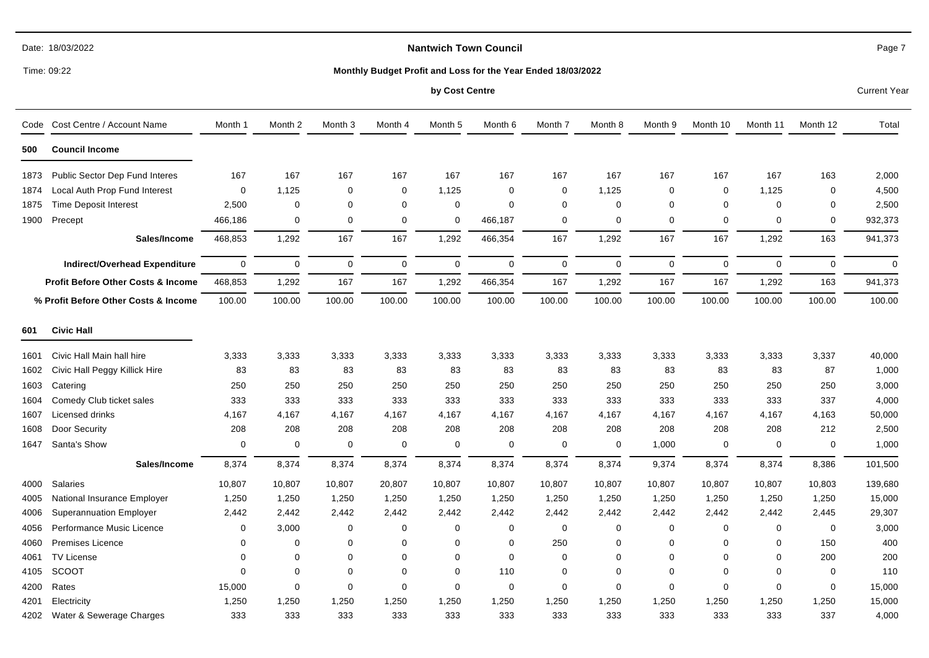# **Nantwich Town Council**

Time: 09:22

#### **Monthly Budget Profit and Loss for the Year Ended 18/03/2022**

#### **by Cost Centre** Current Year

| Code | Cost Centre / Account Name                    | Month 1     | Month 2     | Month 3     | Month 4     | Month 5     | Month 6     | Month 7     | Month 8     | Month 9     | Month 10    | Month 11    | Month 12     | Total       |
|------|-----------------------------------------------|-------------|-------------|-------------|-------------|-------------|-------------|-------------|-------------|-------------|-------------|-------------|--------------|-------------|
| 500  | <b>Council Income</b>                         |             |             |             |             |             |             |             |             |             |             |             |              |             |
| 1873 | Public Sector Dep Fund Interes                | 167         | 167         | 167         | 167         | 167         | 167         | 167         | 167         | 167         | 167         | 167         | 163          | 2,000       |
| 1874 | Local Auth Prop Fund Interest                 | $\mathbf 0$ | 1,125       | 0           | 0           | 1,125       | $\mathbf 0$ | $\mathbf 0$ | 1,125       | $\Omega$    | $\Omega$    | 1,125       | $\mathbf 0$  | 4,500       |
| 1875 | <b>Time Deposit Interest</b>                  | 2,500       | $\mathbf 0$ | $\mathbf 0$ | $\mathbf 0$ | $\mathbf 0$ | $\Omega$    | $\mathbf 0$ | 0           | $\Omega$    | $\Omega$    | $\Omega$    | 0            | 2,500       |
| 1900 | Precept                                       | 466,186     | $\mathbf 0$ | $\mathbf 0$ | $\mathbf 0$ | $\mathbf 0$ | 466,187     | $\mathbf 0$ | $\mathbf 0$ | $\mathbf 0$ | $\mathbf 0$ | $\Omega$    | $\mathbf 0$  | 932,373     |
|      | Sales/Income                                  | 468,853     | 1,292       | 167         | 167         | 1,292       | 466,354     | 167         | 1,292       | 167         | 167         | 1,292       | 163          | 941,373     |
|      | Indirect/Overhead Expenditure                 | $\mathbf 0$ | $\mathbf 0$ | $\mathbf 0$ | $\mathbf 0$ | $\mathbf 0$ | $\mathbf 0$ | $\mathbf 0$ | $\mathbf 0$ | $\mathbf 0$ | $\mathbf 0$ | $\mathbf 0$ | $\Omega$     | $\mathbf 0$ |
|      | <b>Profit Before Other Costs &amp; Income</b> | 468,853     | 1,292       | 167         | 167         | 1,292       | 466,354     | 167         | 1,292       | 167         | 167         | 1,292       | 163          | 941,373     |
|      | % Profit Before Other Costs & Income          | 100.00      | 100.00      | 100.00      | 100.00      | 100.00      | 100.00      | 100.00      | 100.00      | 100.00      | 100.00      | 100.00      | 100.00       | 100.00      |
| 601  | <b>Civic Hall</b>                             |             |             |             |             |             |             |             |             |             |             |             |              |             |
| 1601 | Civic Hall Main hall hire                     | 3,333       | 3,333       | 3,333       | 3,333       | 3,333       | 3,333       | 3,333       | 3,333       | 3,333       | 3,333       | 3,333       | 3,337        | 40,000      |
| 1602 | Civic Hall Peggy Killick Hire                 | 83          | 83          | 83          | 83          | 83          | 83          | 83          | 83          | 83          | 83          | 83          | 87           | 1,000       |
| 1603 | Catering                                      | 250         | 250         | 250         | 250         | 250         | 250         | 250         | 250         | 250         | 250         | 250         | 250          | 3,000       |
| 1604 | Comedy Club ticket sales                      | 333         | 333         | 333         | 333         | 333         | 333         | 333         | 333         | 333         | 333         | 333         | 337          | 4,000       |
| 1607 | Licensed drinks                               | 4,167       | 4,167       | 4,167       | 4,167       | 4,167       | 4,167       | 4,167       | 4,167       | 4,167       | 4,167       | 4,167       | 4,163        | 50,000      |
| 1608 | Door Security                                 | 208         | 208         | 208         | 208         | 208         | 208         | 208         | 208         | 208         | 208         | 208         | 212          | 2,500       |
| 1647 | Santa's Show                                  | 0           | 0           | 0           | 0           | 0           | 0           | $\mathbf 0$ | 0           | 1,000       | $\mathbf 0$ | 0           | 0            | 1,000       |
|      | Sales/Income                                  | 8,374       | 8,374       | 8,374       | 8,374       | 8,374       | 8,374       | 8,374       | 8,374       | 9,374       | 8,374       | 8,374       | 8,386        | 101,500     |
| 4000 | Salaries                                      | 10,807      | 10,807      | 10,807      | 20,807      | 10,807      | 10,807      | 10,807      | 10,807      | 10,807      | 10,807      | 10,807      | 10,803       | 139,680     |
| 4005 | National Insurance Employer                   | 1,250       | 1,250       | 1,250       | 1,250       | 1,250       | 1,250       | 1,250       | 1,250       | 1,250       | 1,250       | 1,250       | 1,250        | 15,000      |
| 4006 | <b>Superannuation Employer</b>                | 2,442       | 2,442       | 2,442       | 2,442       | 2,442       | 2,442       | 2,442       | 2,442       | 2,442       | 2,442       | 2,442       | 2,445        | 29,307      |
| 4056 | Performance Music Licence                     | 0           | 3,000       | 0           | 0           | $\Omega$    | 0           | 0           | 0           | 0           | $\Omega$    | 0           | 0            | 3,000       |
| 4060 | Premises Licence                              | $\Omega$    | 0           | 0           | 0           | 0           | $\Omega$    | 250         | 0           | 0           | $\Omega$    | 0           | 150          | 400         |
| 4061 | TV License                                    | $\Omega$    | 0           | 0           | 0           | $\Omega$    | $\Omega$    | $\mathbf 0$ | 0           | $\Omega$    | $\Omega$    | 0           | 200          | 200         |
| 4105 | <b>SCOOT</b>                                  | $\Omega$    | $\Omega$    | $\Omega$    | $\Omega$    | $\Omega$    | 110         | $\mathbf 0$ | $\Omega$    | $\Omega$    | $\Omega$    | $\mathbf 0$ | $\mathbf{0}$ | 110         |
| 4200 | Rates                                         | 15,000      | $\mathbf 0$ | $\mathbf 0$ | $\mathbf 0$ | $\mathbf 0$ | $\mathbf 0$ | $\mathbf 0$ | $\mathbf 0$ | $\mathbf 0$ | $\mathbf 0$ | $\mathbf 0$ | $\mathbf 0$  | 15,000      |
| 4201 | Electricity                                   | 1,250       | 1,250       | 1,250       | 1,250       | 1,250       | 1,250       | 1,250       | 1,250       | 1,250       | 1,250       | 1,250       | 1,250        | 15,000      |
| 4202 | Water & Sewerage Charges                      | 333         | 333         | 333         | 333         | 333         | 333         | 333         | 333         | 333         | 333         | 333         | 337          | 4,000       |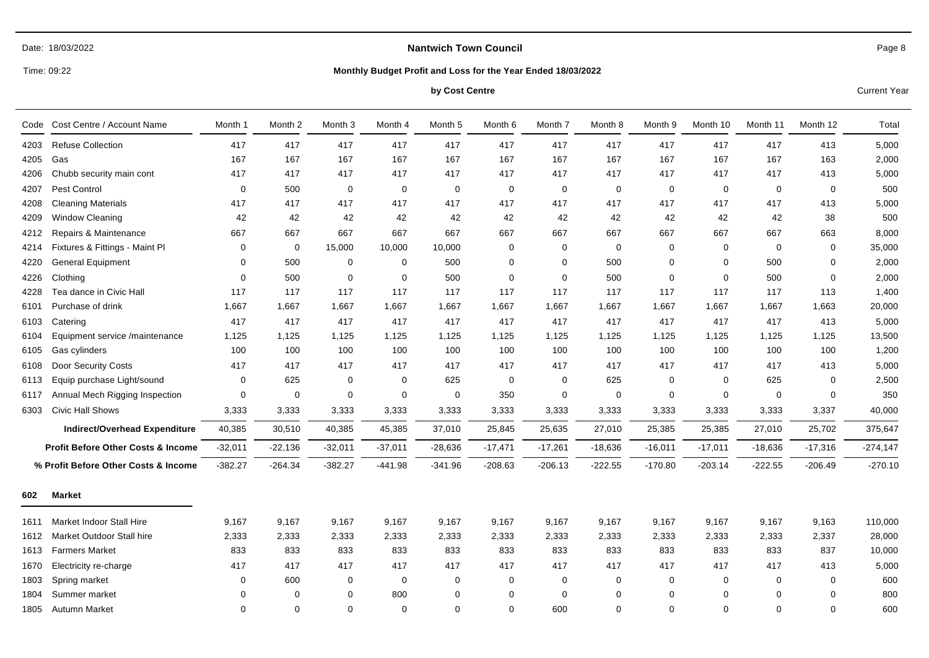#### **Nantwich Town Council**

Time: 09:22

#### **Monthly Budget Profit and Loss for the Year Ended 18/03/2022**

#### **by Cost Centre** Current Year

Code Cost Centre / Account Name Month 1 Month 2 Month 3 Month 4 Month 5 Month 6 Month 7 Month 8 Month 9 Month 10 Month 11 Month 12 Total 4203 Refuse Collection 417 417 417 417 417 417 417 417 417 417 417 413 5,000 4205 Gas 167 167 167 167 167 167 167 167 163 2,000 4206 Chubb security main cont 417 417 417 417 417 417 417 417 417 417 417 413 5,000 4207 Pest Control 0 500 0 0 0 0 0 0 0 0 0 0 500 4208 Cleaning Materials 417 417 417 417 417 417 417 417 417 413 5,000 4209 Window Cleaning 42 42 42 42 42 42 42 42 42 38 500 4212 Repairs & Maintenance 667 667 667 667 667 667 667 667 667 667 667 663 8,000 4214 Fixtures & Fittings - Maint Pl 0 0 15,000 10,000 10,000 0 0 0 0 0 0 0 35,000 4220 General Equipment 0 500 0 0 500 0 0 500 0 0 500 0 2,000 4226 Clothing 0 500 0 0 500 0 0 500 0 0 500 0 2,000 4228 Tea dance in Civic Hall 117 117 117 117 117 117 117 117 117 117 117 113 1,400 6101 Purchase of drink 1,667 1,667 1,667 1,667 1,667 1,667 1,667 1,667 1,667 1,667 1,667 1,663 20,000 6103 Catering 417 417 417 417 417 417 417 417 417 417 417 413 5,000 6104 Equipment service /maintenance 1,125 1,125 1,125 1,125 1,125 1,125 1,125 1,125 1,125 1,125 1,125 1,125 13,500 6105 Gas cylinders 100 100 100 100 100 100 100 100 100 1,200 6108 Door Security Costs 417 417 417 417 417 417 417 417 417 417 417 413 5,000 6113 Equip purchase Light/sound 0 625 0 0 625 0 0 625 0 0 625 0 2,500 6117 Annual Mech Rigging Inspection 0 0 0 0 0 350 0 0 0 0 0 0 350 6303 Civic Hall Shows 3,333 3,333 3,333 3,333 3,333 3,333 3,333 3,333 3,337 40,000 **Indirect/Overhead Expenditure Profit Before Other Costs & Income % Profit Before Other Costs & Income** 40,385 -32,011 -382.27 30,510 -22,136 -264.34 40,385 -32,011 -382.27 45,385 -37,011 -441.98 37,010 -28,636 -341.96 25,845 -17,471 -208.63 25,635 -17,261 -206.13 27,010 -18,636 -222.55 25,385 -16,011 -170.80 25,385 -17,011 -203.14 27,010 -18,636 -222.55 25,702 -17,316 -206.49 375,647 -274,147 -270.10 **602 Market** 1611 Market Indoor Stall Hire 9,167 9,167 9,167 9,167 9,167 9,167 9,167 9,167 9,167 9,167 9,167 9,163 110,000 1612 Market Outdoor Stall hire 2,333 2,333 2,333 2,333 2,333 2,333 2,333 2,333 2,333 2,333 2,333 2,337 28,000 1613 Farmers Market 833 833 833 833 833 833 833 833 833 833 833 837 10,000 1670 Electricity re-charge 417 417 417 417 417 417 417 417 417 417 417 413 5,000 1803 Spring market 0 600 0 0 0 0 0 0 0 0 0 0 600 1804 Summer market 0 0 0 800 0 0 0 0 0 0 0 0 800

1805 Autumn Market 0 0 0 0 0 0 600 0 0 0 0 0 600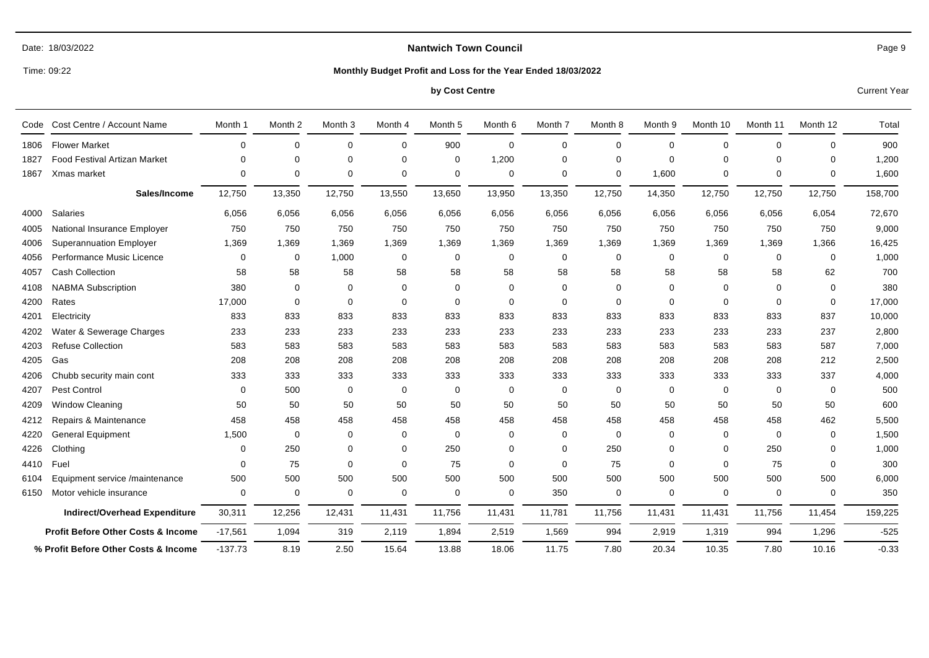# **Nantwich Town Council**

Time: 09:22

#### **Monthly Budget Profit and Loss for the Year Ended 18/03/2022**

#### **by Cost Centre** Current Year

| Code | Cost Centre / Account Name                    | Month 1     | Month <sub>2</sub> | Month <sub>3</sub> | Month 4     | Month <sub>5</sub> | Month 6     | Month 7 | Month 8     | Month 9  | Month 10    | Month 11    | Month 12 | Total   |
|------|-----------------------------------------------|-------------|--------------------|--------------------|-------------|--------------------|-------------|---------|-------------|----------|-------------|-------------|----------|---------|
| 1806 | <b>Flower Market</b>                          | 0           | $\Omega$           | $\mathbf 0$        | $\mathbf 0$ | 900                | $\mathbf 0$ | 0       | $\Omega$    | $\Omega$ | $\mathbf 0$ | $\mathbf 0$ | 0        | 900     |
| 1827 | <b>Food Festival Artizan Market</b>           | 0           | $\Omega$           | $\Omega$           | $\mathbf 0$ | $\mathbf 0$        | 1,200       | 0       | $\Omega$    | $\Omega$ | $\mathbf 0$ | $\mathbf 0$ | 0        | 1,200   |
| 1867 | Xmas market                                   | $\mathbf 0$ | $\Omega$           | $\mathbf 0$        | $\mathbf 0$ | $\mathbf 0$        | 0           | 0       | 0           | 1,600    | $\mathbf 0$ | $\mathbf 0$ | 0        | 1,600   |
|      | Sales/Income                                  | 12,750      | 13,350             | 12,750             | 13,550      | 13,650             | 13,950      | 13,350  | 12,750      | 14,350   | 12,750      | 12,750      | 12,750   | 158,700 |
| 4000 | <b>Salaries</b>                               | 6,056       | 6,056              | 6,056              | 6,056       | 6,056              | 6,056       | 6,056   | 6,056       | 6,056    | 6,056       | 6,056       | 6,054    | 72,670  |
| 4005 | National Insurance Employer                   | 750         | 750                | 750                | 750         | 750                | 750         | 750     | 750         | 750      | 750         | 750         | 750      | 9,000   |
| 4006 | <b>Superannuation Employer</b>                | 1,369       | 1,369              | 1,369              | 1,369       | 1,369              | 1,369       | 1,369   | 1,369       | 1,369    | 1,369       | 1,369       | 1,366    | 16,425  |
| 4056 | Performance Music Licence                     | 0           | $\mathbf 0$        | 1,000              | 0           | 0                  | $\mathbf 0$ | 0       | $\mathbf 0$ | 0        | 0           | 0           | 0        | 1,000   |
| 4057 | <b>Cash Collection</b>                        | 58          | 58                 | 58                 | 58          | 58                 | 58          | 58      | 58          | 58       | 58          | 58          | 62       | 700     |
| 4108 | <b>NABMA Subscription</b>                     | 380         | $\Omega$           | $\Omega$           | $\mathbf 0$ | $\Omega$           | $\Omega$    | 0       | 0           | $\Omega$ | $\Omega$    | $\Omega$    | $\Omega$ | 380     |
| 4200 | Rates                                         | 17,000      | $\Omega$           | $\Omega$           | $\mathbf 0$ | $\mathbf 0$        | $\Omega$    | 0       | $\Omega$    | $\Omega$ | $\Omega$    | $\mathbf 0$ | 0        | 17,000  |
| 4201 | Electricity                                   | 833         | 833                | 833                | 833         | 833                | 833         | 833     | 833         | 833      | 833         | 833         | 837      | 10,000  |
| 4202 | Water & Sewerage Charges                      | 233         | 233                | 233                | 233         | 233                | 233         | 233     | 233         | 233      | 233         | 233         | 237      | 2,800   |
| 4203 | <b>Refuse Collection</b>                      | 583         | 583                | 583                | 583         | 583                | 583         | 583     | 583         | 583      | 583         | 583         | 587      | 7,000   |
| 4205 | Gas                                           | 208         | 208                | 208                | 208         | 208                | 208         | 208     | 208         | 208      | 208         | 208         | 212      | 2,500   |
| 4206 | Chubb security main cont                      | 333         | 333                | 333                | 333         | 333                | 333         | 333     | 333         | 333      | 333         | 333         | 337      | 4,000   |
| 4207 | Pest Control                                  | 0           | 500                | 0                  | 0           | 0                  | $\mathbf 0$ | 0       | $\mathbf 0$ | $\Omega$ | $\mathbf 0$ | 0           | 0        | 500     |
| 4209 | <b>Window Cleaning</b>                        | 50          | 50                 | 50                 | 50          | 50                 | 50          | 50      | 50          | 50       | 50          | 50          | 50       | 600     |
| 4212 | Repairs & Maintenance                         | 458         | 458                | 458                | 458         | 458                | 458         | 458     | 458         | 458      | 458         | 458         | 462      | 5,500   |
| 4220 | <b>General Equipment</b>                      | 1,500       | $\Omega$           | $\Omega$           | 0           | $\mathbf 0$        | $\Omega$    | 0       | $\Omega$    | $\Omega$ | $\Omega$    | $\mathbf 0$ | 0        | 1,500   |
| 4226 | Clothing                                      | 0           | 250                | $\Omega$           | $\mathbf 0$ | 250                | 0           | 0       | 250         | $\Omega$ | 0           | 250         | 0        | 1,000   |
| 4410 | Fuel                                          | 0           | 75                 | $\Omega$           | $\mathbf 0$ | 75                 | $\Omega$    | 0       | 75          | $\Omega$ | $\mathbf 0$ | 75          | 0        | 300     |
| 6104 | Equipment service /maintenance                | 500         | 500                | 500                | 500         | 500                | 500         | 500     | 500         | 500      | 500         | 500         | 500      | 6,000   |
| 6150 | Motor vehicle insurance                       | 0           | $\mathbf 0$        | $\Omega$           | $\mathbf 0$ | $\mathbf 0$        | $\mathbf 0$ | 350     | $\mathbf 0$ | 0        | $\mathbf 0$ | 0           | 0        | 350     |
|      | Indirect/Overhead Expenditure                 | 30,311      | 12,256             | 12,431             | 11,431      | 11,756             | 11,431      | 11,781  | 11,756      | 11,431   | 11,431      | 11,756      | 11,454   | 159,225 |
|      | <b>Profit Before Other Costs &amp; Income</b> | $-17,561$   | 1,094              | 319                | 2,119       | 1,894              | 2,519       | 1,569   | 994         | 2,919    | 1,319       | 994         | 1,296    | $-525$  |
|      | % Profit Before Other Costs & Income          | $-137.73$   | 8.19               | 2.50               | 15.64       | 13.88              | 18.06       | 11.75   | 7.80        | 20.34    | 10.35       | 7.80        | 10.16    | $-0.33$ |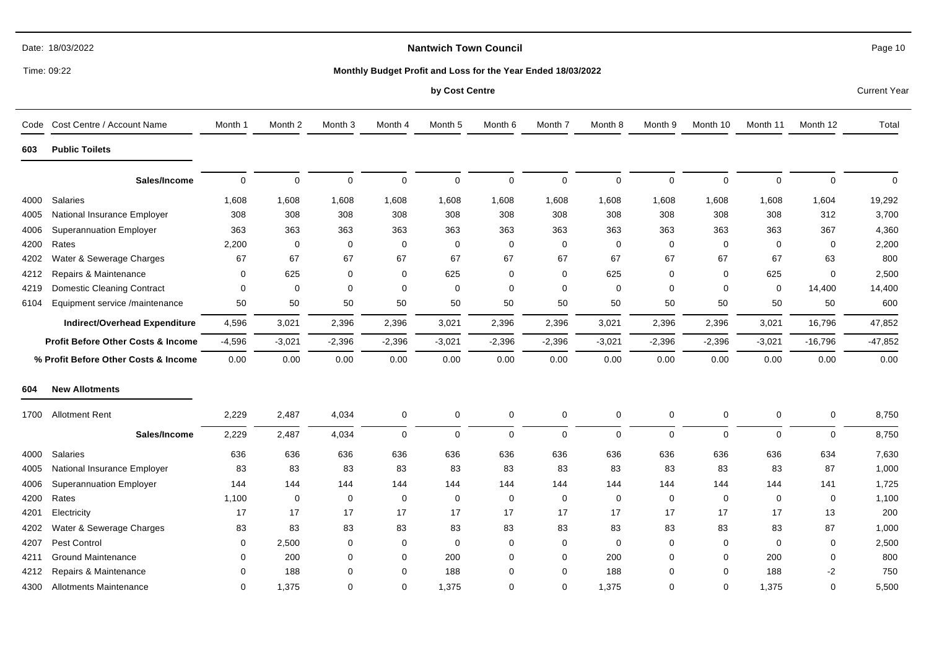|      | Time: 09:22                                   |             |             |                    |             |                    | Monthly Budget Profit and Loss for the Year Ended 18/03/2022 |             |             |             |             |              |             |                     |
|------|-----------------------------------------------|-------------|-------------|--------------------|-------------|--------------------|--------------------------------------------------------------|-------------|-------------|-------------|-------------|--------------|-------------|---------------------|
|      |                                               |             |             |                    |             | by Cost Centre     |                                                              |             |             |             |             |              |             | <b>Current Year</b> |
|      | Code Cost Centre / Account Name               | Month 1     | Month 2     | Month <sub>3</sub> | Month 4     | Month <sub>5</sub> | Month <sub>6</sub>                                           | Month 7     | Month 8     | Month 9     | Month 10    | Month 11     | Month 12    | Total               |
| 603  | <b>Public Toilets</b>                         |             |             |                    |             |                    |                                                              |             |             |             |             |              |             |                     |
|      | Sales/Income                                  | $\mathbf 0$ | $\mathbf 0$ | $\mathbf 0$        | $\pmb{0}$   | $\mathbf 0$        | $\mathbf 0$                                                  | $\mathbf 0$ | 0           | $\mathbf 0$ | $\mathbf 0$ | $\mathbf{0}$ | $\mathbf 0$ | $\mathbf 0$         |
| 4000 | Salaries                                      | 1,608       | 1,608       | 1,608              | 1,608       | 1,608              | 1,608                                                        | 1,608       | 1,608       | 1,608       | 1,608       | 1,608        | 1,604       | 19,292              |
| 4005 | National Insurance Employer                   | 308         | 308         | 308                | 308         | 308                | 308                                                          | 308         | 308         | 308         | 308         | 308          | 312         | 3,700               |
| 4006 | <b>Superannuation Employer</b>                | 363         | 363         | 363                | 363         | 363                | 363                                                          | 363         | 363         | 363         | 363         | 363          | 367         | 4,360               |
| 4200 | Rates                                         | 2,200       | $\mathbf 0$ | 0                  | 0           | $\mathbf 0$        | $\mathbf 0$                                                  | $\mathbf 0$ | 0           | $\mathbf 0$ | $\mathbf 0$ | $\Omega$     | 0           | 2,200               |
| 4202 | Water & Sewerage Charges                      | 67          | 67          | 67                 | 67          | 67                 | 67                                                           | 67          | 67          | 67          | 67          | 67           | 63          | 800                 |
| 4212 | Repairs & Maintenance                         | 0           | 625         | 0                  | $\mathbf 0$ | 625                | 0                                                            | $\mathbf 0$ | 625         | $\Omega$    | $\Omega$    | 625          | 0           | 2,500               |
| 4219 | <b>Domestic Cleaning Contract</b>             | 0           | $\mathbf 0$ | 0                  | $\mathbf 0$ | $\Omega$           | $\mathbf 0$                                                  | $\mathbf 0$ | $\mathbf 0$ | $\mathbf 0$ | 0           | $\mathbf 0$  | 14,400      | 14,400              |
| 6104 | Equipment service /maintenance                | 50          | 50          | 50                 | 50          | 50                 | 50                                                           | 50          | 50          | 50          | 50          | 50           | 50          | 600                 |
|      | Indirect/Overhead Expenditure                 | 4,596       | 3,021       | 2,396              | 2,396       | 3,021              | 2,396                                                        | 2,396       | 3,021       | 2,396       | 2,396       | 3,021        | 16,796      | 47,852              |
|      | <b>Profit Before Other Costs &amp; Income</b> | $-4,596$    | $-3,021$    | $-2,396$           | $-2,396$    | $-3,021$           | $-2,396$                                                     | $-2,396$    | $-3,021$    | $-2,396$    | $-2,396$    | $-3,021$     | $-16,796$   | $-47,852$           |
|      | % Profit Before Other Costs & Income          | 0.00        | 0.00        | 0.00               | 0.00        | 0.00               | 0.00                                                         | 0.00        | 0.00        | 0.00        | 0.00        | 0.00         | 0.00        | 0.00                |
| 604  | <b>New Allotments</b>                         |             |             |                    |             |                    |                                                              |             |             |             |             |              |             |                     |
| 1700 | <b>Allotment Rent</b>                         | 2,229       | 2,487       | 4,034              | $\mathbf 0$ | $\mathbf 0$        | 0                                                            | $\mathbf 0$ | 0           | $\mathbf 0$ | $\mathbf 0$ | 0            | 0           | 8,750               |
|      | Sales/Income                                  | 2,229       | 2,487       | 4,034              | $\mathbf 0$ | $\Omega$           | $\mathbf 0$                                                  | $\mathbf 0$ | 0           | $\Omega$    | $\Omega$    | $\Omega$     | 0           | 8,750               |
| 4000 | Salaries                                      | 636         | 636         | 636                | 636         | 636                | 636                                                          | 636         | 636         | 636         | 636         | 636          | 634         | 7,630               |
| 4005 | National Insurance Employer                   | 83          | 83          | 83                 | 83          | 83                 | 83                                                           | 83          | 83          | 83          | 83          | 83           | 87          | 1,000               |
| 4006 | <b>Superannuation Employer</b>                | 144         | 144         | 144                | 144         | 144                | 144                                                          | 144         | 144         | 144         | 144         | 144          | 141         | 1,725               |
| 4200 | Rates                                         | 1,100       | $\mathbf 0$ | $\mathbf 0$        | $\mathbf 0$ | $\mathbf 0$        | $\mathbf 0$                                                  | $\mathbf 0$ | $\mathbf 0$ | $\mathbf 0$ | $\mathbf 0$ | $\mathbf 0$  | $\mathbf 0$ | 1,100               |
| 4201 | Electricity                                   | 17          | 17          | 17                 | 17          | 17                 | 17                                                           | 17          | 17          | 17          | 17          | 17           | 13          | 200                 |
| 4202 | Water & Sewerage Charges                      | 83          | 83          | 83                 | 83          | 83                 | 83                                                           | 83          | 83          | 83          | 83          | 83           | 87          | 1,000               |
| 4207 | Pest Control                                  | 0           | 2,500       | 0                  | 0           | 0                  | 0                                                            | $\mathbf 0$ | 0           | $\Omega$    | 0           | 0            | 0           | 2,500               |
| 4211 | <b>Ground Maintenance</b>                     | 0           | 200         | $\Omega$           | 0           | 200                | 0                                                            | $\mathbf 0$ | 200         | $\Omega$    | 0           | 200          | 0           | 800                 |
| 4212 | Repairs & Maintenance                         | $\mathbf 0$ | 188         | $\mathbf 0$        | 0           | 188                | 0                                                            | $\mathbf 0$ | 188         | $\Omega$    | $\mathbf 0$ | 188          | $-2$        | 750                 |
| 4300 | <b>Allotments Maintenance</b>                 | $\mathbf 0$ | 1,375       | $\Omega$           | $\Omega$    | 1,375              | $\Omega$                                                     | $\Omega$    | 1,375       | $\Omega$    | $\Omega$    | 1,375        | $\Omega$    | 5,500               |

Page 10

Date: 18/03/2022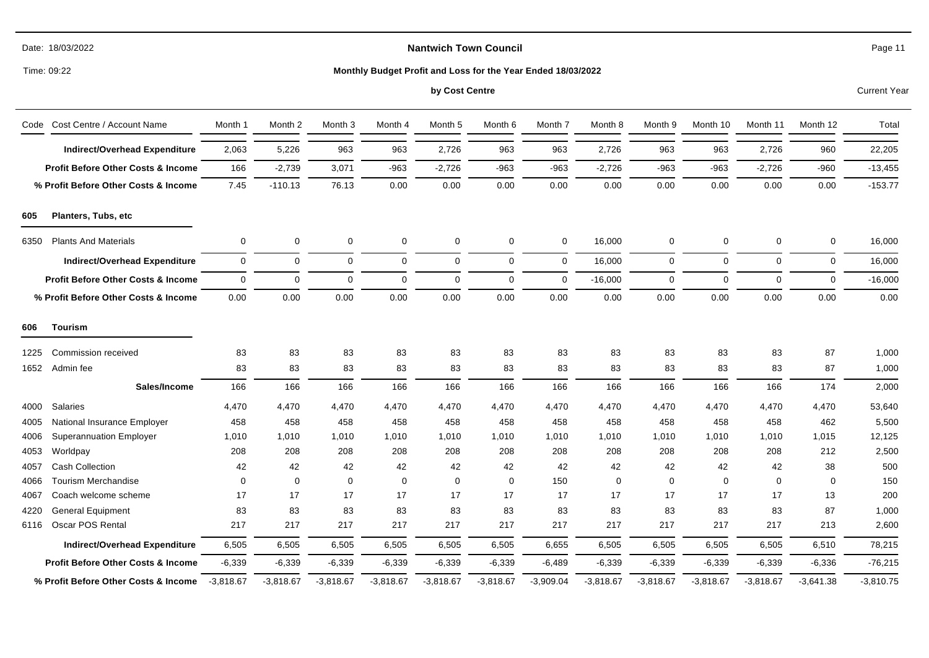|  | Date: 18/03/2022 |
|--|------------------|
|--|------------------|

Time: 09:22

#### **Monthly Budget Profit and Loss for the Year Ended 18/03/2022**

# **by Cost Centre** Current Year

| Code                                          | Cost Centre / Account Name                    | Month 1     | Month 2     | Month <sub>3</sub> | Month 4     | Month 5     | Month 6     | Month 7     | Month 8     | Month 9     | Month 10    | Month 11    | Month 12    | Total       |
|-----------------------------------------------|-----------------------------------------------|-------------|-------------|--------------------|-------------|-------------|-------------|-------------|-------------|-------------|-------------|-------------|-------------|-------------|
|                                               | <b>Indirect/Overhead Expenditure</b>          | 2,063       | 5,226       | 963                | 963         | 2,726       | 963         | 963         | 2,726       | 963         | 963         | 2,726       | 960         | 22,205      |
|                                               | <b>Profit Before Other Costs &amp; Income</b> | 166         | $-2,739$    | 3,071              | $-963$      | $-2,726$    | $-963$      | $-963$      | $-2,726$    | $-963$      | $-963$      | $-2,726$    | $-960$      | $-13,455$   |
|                                               | % Profit Before Other Costs & Income          | 7.45        | $-110.13$   | 76.13              | 0.00        | 0.00        | 0.00        | 0.00        | 0.00        | 0.00        | 0.00        | 0.00        | 0.00        | $-153.77$   |
| 605                                           | Planters, Tubs, etc                           |             |             |                    |             |             |             |             |             |             |             |             |             |             |
| <b>Plants And Materials</b><br>6350           |                                               | 0           | 0           | 0                  | 0           | 0           | 0           | $\mathbf 0$ | 16,000      | 0           | 0           | 0           | 0           | 16,000      |
|                                               | <b>Indirect/Overhead Expenditure</b>          | 0           | 0           | 0                  | 0           | $\Omega$    | 0           | $\mathbf 0$ | 16,000      | $\mathbf 0$ | 0           | 0           | 0           | 16,000      |
|                                               | <b>Profit Before Other Costs &amp; Income</b> | $\mathbf 0$ | $\mathbf 0$ | 0                  | $\mathbf 0$ | $\mathbf 0$ | $\mathbf 0$ | $\mathbf 0$ | $-16,000$   | $\mathbf 0$ | 0           | 0           | $\mathbf 0$ | $-16,000$   |
| % Profit Before Other Costs & Income          |                                               | 0.00        | 0.00        | 0.00               | 0.00        | 0.00        | 0.00        | 0.00        | 0.00        | 0.00        | 0.00        | 0.00        | 0.00        | 0.00        |
| 606                                           | Tourism                                       |             |             |                    |             |             |             |             |             |             |             |             |             |             |
| 1225                                          | Commission received                           | 83          | 83          | 83                 | 83          | 83          | 83          | 83          | 83          | 83          | 83          | 83          | 87          | 1,000       |
| 1652                                          | Admin fee                                     | 83          | 83          | 83                 | 83          | 83          | 83          | 83          | 83          | 83          | 83          | 83          | 87          | 1,000       |
|                                               | Sales/Income                                  | 166         | 166         | 166                | 166         | 166         | 166         | 166         | 166         | 166         | 166         | 166         | 174         | 2,000       |
| 4000                                          | <b>Salaries</b>                               | 4,470       | 4,470       | 4,470              | 4,470       | 4,470       | 4,470       | 4,470       | 4,470       | 4,470       | 4,470       | 4,470       | 4,470       | 53,640      |
| 4005                                          | National Insurance Employer                   | 458         | 458         | 458                | 458         | 458         | 458         | 458         | 458         | 458         | 458         | 458         | 462         | 5,500       |
| 4006                                          | <b>Superannuation Employer</b>                | 1,010       | 1,010       | 1,010              | 1,010       | 1,010       | 1,010       | 1,010       | 1,010       | 1,010       | 1,010       | 1,010       | 1,015       | 12,125      |
| 4053                                          | Worldpay                                      | 208         | 208         | 208                | 208         | 208         | 208         | 208         | 208         | 208         | 208         | 208         | 212         | 2,500       |
| 4057                                          | <b>Cash Collection</b>                        | 42          | 42          | 42                 | 42          | 42          | 42          | 42          | 42          | 42          | 42          | 42          | 38          | 500         |
| 4066                                          | <b>Tourism Merchandise</b>                    | 0           | $\Omega$    | $\mathbf 0$        | $\mathbf 0$ | $\mathbf 0$ | $\mathbf 0$ | 150         | $\mathbf 0$ | $\mathbf 0$ | $\mathbf 0$ | 0           | $\Omega$    | 150         |
| 4067                                          | Coach welcome scheme                          | 17          | 17          | 17                 | 17          | 17          | 17          | 17          | 17          | 17          | 17          | 17          | 13          | 200         |
| 4220                                          | <b>General Equipment</b>                      | 83          | 83          | 83                 | 83          | 83          | 83          | 83          | 83          | 83          | 83          | 83          | 87          | 1,000       |
| 6116                                          | Oscar POS Rental                              | 217         | 217         | 217                | 217         | 217         | 217         | 217         | 217         | 217         | 217         | 217         | 213         | 2,600       |
|                                               | <b>Indirect/Overhead Expenditure</b>          | 6,505       | 6,505       | 6,505              | 6,505       | 6,505       | 6,505       | 6,655       | 6,505       | 6,505       | 6,505       | 6,505       | 6,510       | 78,215      |
| <b>Profit Before Other Costs &amp; Income</b> |                                               | $-6,339$    | $-6,339$    | $-6,339$           | $-6,339$    | $-6,339$    | $-6,339$    | $-6,489$    | $-6,339$    | $-6,339$    | $-6,339$    | $-6,339$    | $-6,336$    | $-76,215$   |
| % Profit Before Other Costs & Income          |                                               | $-3,818.67$ | $-3,818.67$ | $-3,818.67$        | $-3,818.67$ | $-3,818.67$ | $-3,818.67$ | $-3,909.04$ | $-3,818.67$ | $-3,818.67$ | $-3,818.67$ | $-3,818.67$ | $-3,641.38$ | $-3,810.75$ |